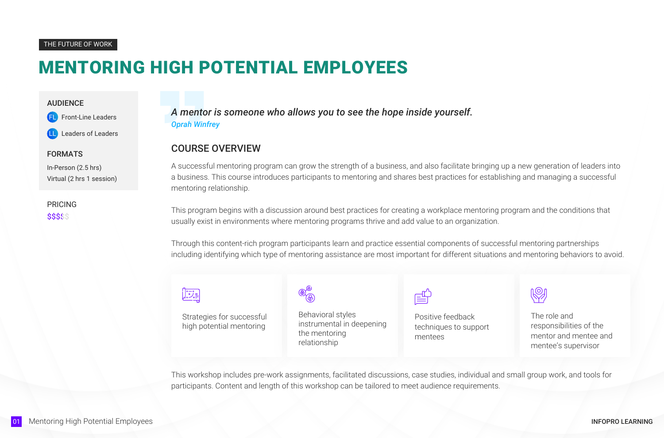# MENTORING HIGH POTENTIAL EMPLOYEES

*A mentor is someone who allows you to see the hope inside yourself. Oprah Winfrey*

#### THE FUTURE OF WORK

#### AUDIENCE

Front-Line Leaders

Leaders of Leaders

#### FORMATS

In-Person (2.5 hrs) Virtual (2 hrs 1 session)

### COURSE OVERVIEW

A successful mentoring program can grow the strength of a business, and also facilitate bringing up a new generation of leaders into a business. This course introduces participants to mentoring and shares best practices for establishing and managing a successful mentoring relationship.

This program begins with a discussion around best practices for creating a workplace mentoring program and the conditions that usually exist in environments where mentoring programs thrive and add value to an organization.

PRICING\$\$\$\$\$

> Through this content-rich program participants learn and practice essential components of successful mentoring partnerships including identifying which type of mentoring assistance are most important for different situations and mentoring behaviors to avoid.



Strategies for successful high potential mentoring

Behavioral styles instrumental in deepening the mentoring relationship

Positive feedback techniques to support mentees

The role and responsibilities of the mentor and mentee and mentee's supervisor

This workshop includes pre-work assignments, facilitated discussions, case studies, individual and small group work, and tools for participants. Content and length of this workshop can be tailored to meet audience requirements.

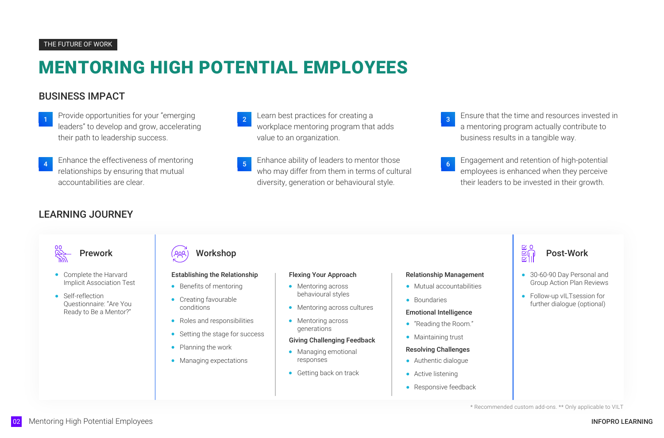# MENTORING HIGH POTENTIAL EMPLOYEES

# BUSINESS IMPACT

Learn best practices for creating a strategies of the sensure that the time and resources invested in a mentoring program actually contribute to business results in a tangible way.

- 1 Provide opportunities for your "emerging and a set all learn best practices for creating a leaders" to develop and grow, accelerating their path to leadership success.
- Enhance the effectiveness of mentoring relationships by ensuring that mutual accountabilities are clear.

3

- Complete the Harvard Implicit Association Test
- Self-reflection Questionnaire: "Are You Ready to Be a Mentor?"
- workplace mentoring program that adds value to an organization.
- Enhance ability of leaders to mentor those who may differ from them in terms of cultural diversity, generation or behavioural style.

- Mentoring across behavioural styles
- Mentoring across cultures
- Mentoring across generations

<sup>5</sup> Engagement and retention of high-potential employees is enhanced when they perceive their leaders to be invested in their growth.

- "Reading the Room."
- Maintaining trust

6

# LEARNING JOURNEY







\* Recommended custom add-ons. \*\* Only applicable to VILT

# Establishing the Relationship

- Benefits of mentoring
- Creating favourable conditions
- Roles and responsibilities
- Setting the stage for success  $\bullet$
- Planning the work
- Managing expectations

#### Flexing Your Approach

#### Giving Challenging Feedback

- Managing emotional responses
- **Getting back on track**

#### Relationship Management

- Mutual accountabilities
- Boundaries

#### Emotional Intelligence

#### Resolving Challenges

- Authentic dialogue
- Active listening
- Responsive feedback